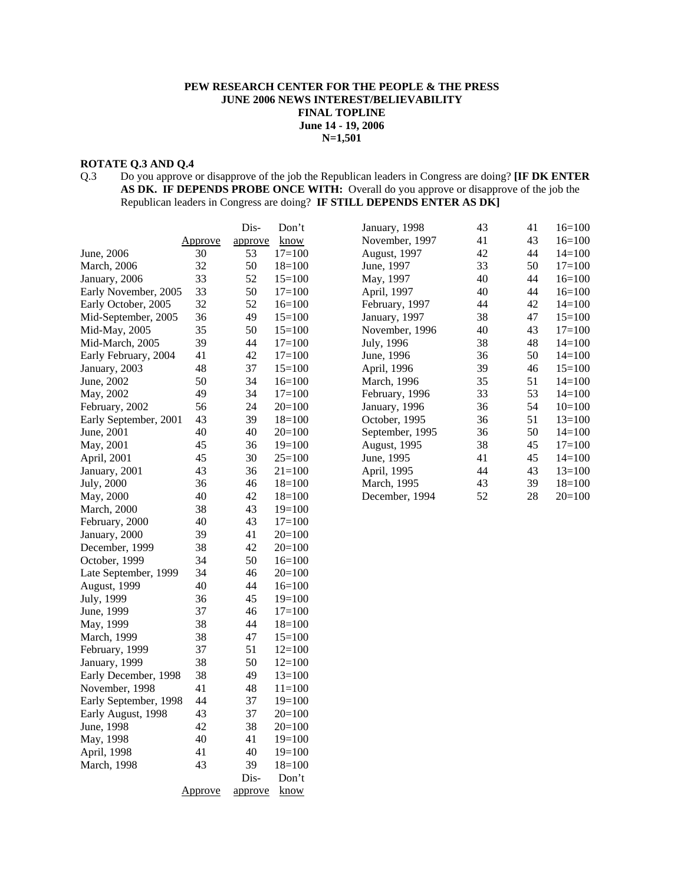#### **PEW RESEARCH CENTER FOR THE PEOPLE & THE PRESS JUNE 2006 NEWS INTEREST/BELIEVABILITY FINAL TOPLINE June 14 - 19, 2006 N=1,501**

# **ROTATE Q.3 AND Q.4**

Q.3 Do you approve or disapprove of the job the Republican leaders in Congress are doing? **[IF DK ENTER AS DK. IF DEPENDS PROBE ONCE WITH:** Overall do you approve or disapprove of the job the Republican leaders in Congress are doing? **IF STILL DEPENDS ENTER AS DK]**

|                       |                | Dis-    | Don't       | January, 1998   | 43 | 41 | $16=100$   |
|-----------------------|----------------|---------|-------------|-----------------|----|----|------------|
|                       | <u>Approve</u> | approve | know        | November, 1997  | 41 | 43 | $16=100$   |
| June, 2006            | 30             | 53      | $17=100$    | August, 1997    | 42 | 44 | $14 = 100$ |
| March, 2006           | 32             | 50      | $18=100$    | June, 1997      | 33 | 50 | $17 = 100$ |
| January, 2006         | 33             | 52      | $15=100$    | May, 1997       | 40 | 44 | $16=100$   |
| Early November, 2005  | 33             | 50      | $17=100$    | April, 1997     | 40 | 44 | $16=100$   |
| Early October, 2005   | 32             | 52      | $16=100$    | February, 1997  | 44 | 42 | $14 = 100$ |
| Mid-September, 2005   | 36             | 49      | $15=100$    | January, 1997   | 38 | 47 | $15 = 100$ |
| Mid-May, 2005         | 35             | 50      | $15=100$    | November, 1996  | 40 | 43 | $17=100$   |
| Mid-March, 2005       | 39             | 44      | $17=100$    | July, 1996      | 38 | 48 | $14 = 100$ |
| Early February, 2004  | 41             | 42      | $17 = 100$  | June, 1996      | 36 | 50 | $14 = 100$ |
| January, 2003         | 48             | 37      | $15=100$    | April, 1996     | 39 | 46 | $15=100$   |
| June, 2002            | 50             | 34      | $16=100$    | March, 1996     | 35 | 51 | $14=100$   |
| May, 2002             | 49             | 34      | $17=100$    | February, 1996  | 33 | 53 | $14=100$   |
| February, 2002        | 56             | 24      | $20=100$    | January, 1996   | 36 | 54 | $10=100$   |
| Early September, 2001 | 43             | 39      | $18=100$    | October, 1995   | 36 | 51 | $13=100$   |
| June, 2001            | 40             | 40      | $20=100$    | September, 1995 | 36 | 50 | $14=100$   |
| May, 2001             | 45             | 36      | $19=100$    | August, 1995    | 38 | 45 | $17=100$   |
| April, 2001           | 45             | 30      | $25=100$    | June, 1995      | 41 | 45 | $14=100$   |
| January, 2001         | 43             | 36      | $21 = 100$  | April, 1995     | 44 | 43 | $13=100$   |
| July, 2000            | 36             | 46      | $18=100$    | March, 1995     | 43 | 39 | $18 = 100$ |
| May, 2000             | 40             | 42      | $18=100$    | December, 1994  | 52 | 28 | $20=100$   |
| March, 2000           | 38             | 43      | $19=100$    |                 |    |    |            |
| February, 2000        | 40             | 43      | $17=100$    |                 |    |    |            |
| January, 2000         | 39             | 41      | $20=100$    |                 |    |    |            |
| December, 1999        | 38             | 42      | $20=100$    |                 |    |    |            |
| October, 1999         | 34             | 50      | $16=100$    |                 |    |    |            |
| Late September, 1999  | 34             | 46      | $20=100$    |                 |    |    |            |
| August, 1999          | 40             | 44      | $16=100$    |                 |    |    |            |
| July, 1999            | 36             | 45      | $19=100$    |                 |    |    |            |
| June, 1999            | 37             | 46      | $17=100$    |                 |    |    |            |
| May, 1999             | 38             | 44      | $18=100$    |                 |    |    |            |
| March, 1999           | 38             | 47      | $15=100$    |                 |    |    |            |
| February, 1999        | 37             | 51      | $12=100$    |                 |    |    |            |
| January, 1999         | 38             | 50      | $12=100$    |                 |    |    |            |
| Early December, 1998  | 38             | 49      | $13=100$    |                 |    |    |            |
| November, 1998        | 41             | 48      | $11 = 100$  |                 |    |    |            |
| Early September, 1998 | 44             | 37      | $19=100$    |                 |    |    |            |
| Early August, 1998    | 43             | 37      | $20=100$    |                 |    |    |            |
| June, 1998            | 42             | 38      | $20=100$    |                 |    |    |            |
| May, 1998             | 40             | 41      | $19=100$    |                 |    |    |            |
| April, 1998           | 41             | 40      | $19=100$    |                 |    |    |            |
| March, 1998           | 43             | 39      | $18 = 100$  |                 |    |    |            |
|                       |                | Dis-    | Don't       |                 |    |    |            |
|                       | <u>Approve</u> | approve | <u>know</u> |                 |    |    |            |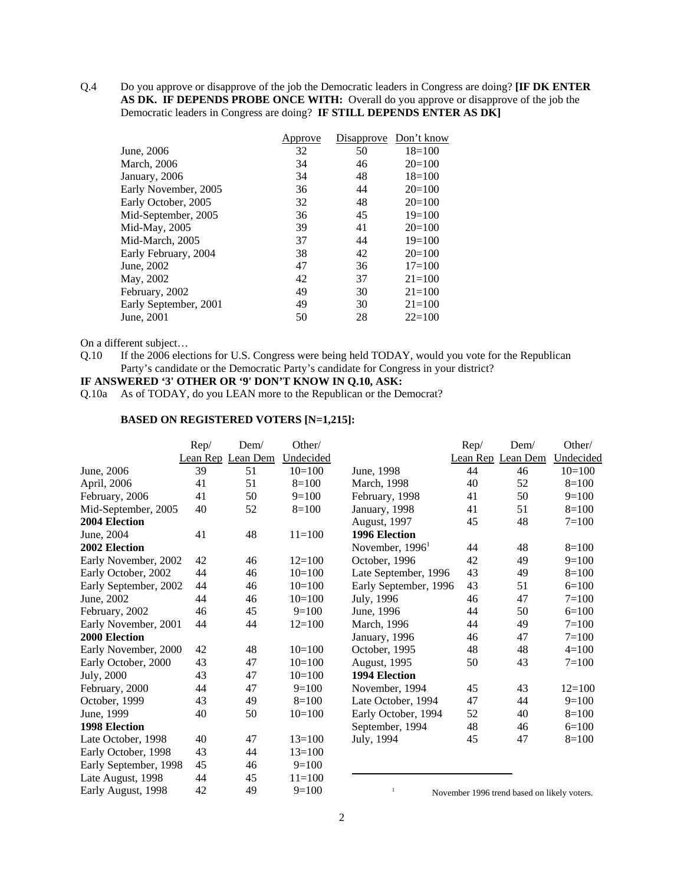Q.4 Do you approve or disapprove of the job the Democratic leaders in Congress are doing? **[IF DK ENTER AS DK. IF DEPENDS PROBE ONCE WITH:** Overall do you approve or disapprove of the job the Democratic leaders in Congress are doing? **IF STILL DEPENDS ENTER AS DK]**

|                       | Approve | Disapprove | Don't know |
|-----------------------|---------|------------|------------|
| June, 2006            | 32      | 50         | $18=100$   |
| <b>March</b> , 2006   | 34      | 46         | $20=100$   |
| January, 2006         | 34      | 48         | $18=100$   |
| Early November, 2005  | 36      | 44         | $20=100$   |
| Early October, 2005   | 32      | 48         | $20=100$   |
| Mid-September, 2005   | 36      | 45         | $19=100$   |
| Mid-May, 2005         | 39      | 41         | $20=100$   |
| Mid-March, 2005       | 37      | 44         | $19=100$   |
| Early February, 2004  | 38      | 42         | $20=100$   |
| June, 2002            | 47      | 36         | $17=100$   |
| May, 2002             | 42      | 37         | $21 = 100$ |
| February, 2002        | 49      | 30         | $21 = 100$ |
| Early September, 2001 | 49      | 30         | $21 = 100$ |
| June, 2001            | 50      | 28         | $22 = 100$ |

On a different subject…

Q.10 If the 2006 elections for U.S. Congress were being held TODAY, would you vote for the Republican Party's candidate or the Democratic Party's candidate for Congress in your district?

### **IF ANSWERED '3' OTHER OR '9' DON'T KNOW IN Q.10, ASK:**

Q.10a As of TODAY, do you LEAN more to the Republican or the Democrat?

#### **BASED ON REGISTERED VOTERS [N=1,215]:**

|                       | Rep/ | Dem/              | Other/     |                       | Rep/ | Dem/                                        | Other/    |
|-----------------------|------|-------------------|------------|-----------------------|------|---------------------------------------------|-----------|
|                       |      | Lean Rep Lean Dem | Undecided  |                       |      | Lean Rep Lean Dem                           | Undecided |
| June, 2006            | 39   | 51                | $10=100$   | June, 1998            | 44   | 46                                          | $10=100$  |
| April, 2006           | 41   | 51                | $8=100$    | March, 1998           | 40   | 52                                          | $8=100$   |
| February, 2006        | 41   | 50                | $9=100$    | February, 1998        | 41   | 50                                          | $9=100$   |
| Mid-September, 2005   | 40   | 52                | $8=100$    | January, 1998         | 41   | 51                                          | $8=100$   |
| 2004 Election         |      |                   |            | August, 1997          | 45   | 48                                          | $7=100$   |
| June, 2004            | 41   | 48                | $11 = 100$ | 1996 Election         |      |                                             |           |
| 2002 Election         |      |                   |            | November, $19961$     | 44   | 48                                          | $8=100$   |
| Early November, 2002  | 42   | 46                | $12 = 100$ | October, 1996         | 42   | 49                                          | $9=100$   |
| Early October, 2002   | 44   | 46                | $10=100$   | Late September, 1996  | 43   | 49                                          | $8=100$   |
| Early September, 2002 | 44   | 46                | $10=100$   | Early September, 1996 | 43   | 51                                          | $6=100$   |
| June, 2002            | 44   | 46                | $10=100$   | July, 1996            | 46   | 47                                          | $7 = 100$ |
| February, 2002        | 46   | 45                | $9=100$    | June, 1996            | 44   | 50                                          | $6=100$   |
| Early November, 2001  | 44   | 44                | $12=100$   | March, 1996           | 44   | 49                                          | $7 = 100$ |
| 2000 Election         |      |                   |            | January, 1996         | 46   | 47                                          | $7=100$   |
| Early November, 2000  | 42   | 48                | $10=100$   | October, 1995         | 48   | 48                                          | $4 = 100$ |
| Early October, 2000   | 43   | 47                | $10=100$   | <b>August</b> , 1995  | 50   | 43                                          | $7=100$   |
| July, 2000            | 43   | 47                | $10=100$   | 1994 Election         |      |                                             |           |
| February, 2000        | 44   | 47                | $9=100$    | November, 1994        | 45   | 43                                          | $12=100$  |
| October, 1999         | 43   | 49                | $8=100$    | Late October, 1994    | 47   | 44                                          | $9=100$   |
| June, 1999            | 40   | 50                | $10=100$   | Early October, 1994   | 52   | 40                                          | $8=100$   |
| <b>1998 Election</b>  |      |                   |            | September, 1994       | 48   | 46                                          | $6=100$   |
| Late October, 1998    | 40   | 47                | $13 = 100$ | July, 1994            | 45   | 47                                          | $8=100$   |
| Early October, 1998   | 43   | 44                | $13 = 100$ |                       |      |                                             |           |
| Early September, 1998 | 45   | 46                | $9=100$    |                       |      |                                             |           |
| Late August, 1998     | 44   | 45                | $11 = 100$ |                       |      |                                             |           |
| Early August, 1998    | 42   | 49                | $9=100$    | $\mathbf{1}$          |      | November 1996 trend based on likely voters. |           |

<sup>1</sup> November 1996 trend based on likely voters.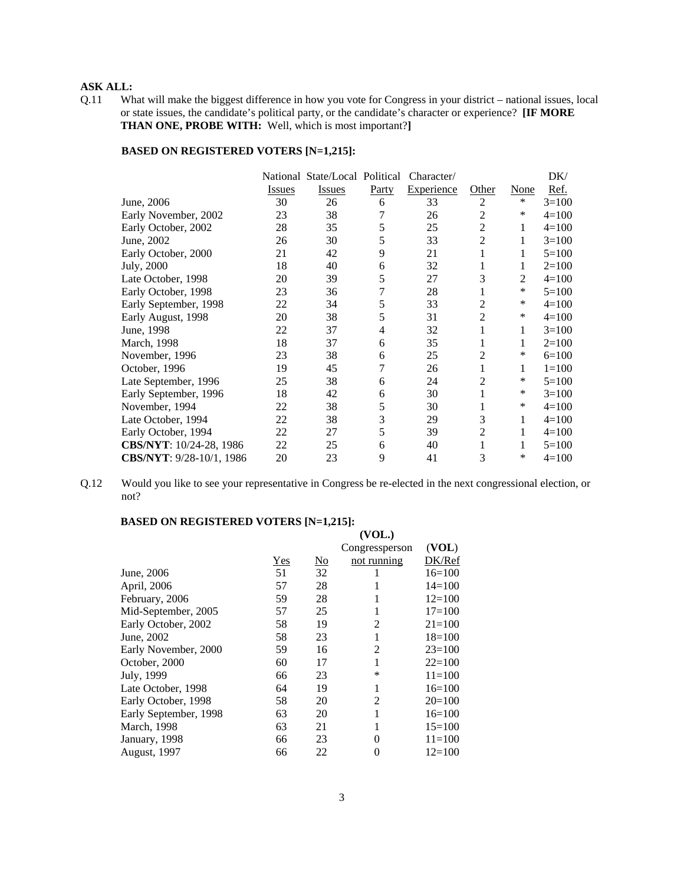## **ASK ALL:**

Q.11 What will make the biggest difference in how you vote for Congress in your district – national issues, local or state issues, the candidate's political party, or the candidate's character or experience? **[IF MORE THAN ONE, PROBE WITH:** Well, which is most important?**]**

#### **BASED ON REGISTERED VOTERS [N=1,215]:**

|                          |               | National State/Local Political |       | Character/ |                |                | DK/       |
|--------------------------|---------------|--------------------------------|-------|------------|----------------|----------------|-----------|
|                          | <b>Issues</b> | <b>Issues</b>                  | Party | Experience | Other          | None           | Ref.      |
| June, 2006               | 30            | 26                             | 6     | 33         | $\overline{c}$ | $\ast$         | $3=100$   |
| Early November, 2002     | 23            | 38                             | 7     | 26         | 2              | ∗              | $4=100$   |
| Early October, 2002      | 28            | 35                             | 5     | 25         | $\overline{2}$ | 1              | $4=100$   |
| June, 2002               | 26            | 30                             | 5     | 33         | $\overline{2}$ | 1              | $3=100$   |
| Early October, 2000      | 21            | 42                             | 9     | 21         | 1              | 1              | $5=100$   |
| July, 2000               | 18            | 40                             | 6     | 32         |                | 1              | $2=100$   |
| Late October, 1998       | 20            | 39                             | 5     | 27         | 3              | $\overline{2}$ | $4=100$   |
| Early October, 1998      | 23            | 36                             | 7     | 28         |                | *              | $5=100$   |
| Early September, 1998    | 22            | 34                             | 5     | 33         | 2              | ∗              | $4=100$   |
| Early August, 1998       | 20            | 38                             | 5     | 31         | $\overline{c}$ | $\ast$         | $4=100$   |
| June, 1998               | 22            | 37                             | 4     | 32         | 1              | 1              | $3=100$   |
| March, 1998              | 18            | 37                             | 6     | 35         | 1              | 1              | $2=100$   |
| November, 1996           | 23            | 38                             | 6     | 25         | 2              | ∗              | $6=100$   |
| October, 1996            | 19            | 45                             | 7     | 26         | 1              | 1              | $1 = 100$ |
| Late September, 1996     | 25            | 38                             | 6     | 24         | 2              | ∗              | $5=100$   |
| Early September, 1996    | 18            | 42                             | 6     | 30         |                | ∗              | $3=100$   |
| November, 1994           | 22            | 38                             | 5     | 30         |                | ∗              | $4=100$   |
| Late October, 1994       | 22            | 38                             | 3     | 29         | 3              | 1              | $4=100$   |
| Early October, 1994      | 22            | 27                             | 5     | 39         | $\overline{2}$ | 1              | $4 = 100$ |
| CBS/NYT: 10/24-28, 1986  | 22            | 25                             | 6     | 40         |                | 1              | $5=100$   |
| CBS/NYT: 9/28-10/1, 1986 | 20            | 23                             | 9     | 41         | 3              | $\ast$         | $4=100$   |

Q.12 Would you like to see your representative in Congress be re-elected in the next congressional election, or not?

#### **BASED ON REGISTERED VOTERS [N=1,215]:**  $\overline{\text{VOT}}$

|                       |            |                           | (VUL.)         |            |
|-----------------------|------------|---------------------------|----------------|------------|
|                       |            |                           | Congressperson | (VOL)      |
|                       | <b>Yes</b> | $\underline{\mathrm{No}}$ | not running    | DK/Ref     |
| June, 2006            | 51         | 32                        |                | $16=100$   |
| April, 2006           | 57         | 28                        |                | $14 = 100$ |
| February, 2006        | 59         | 28                        | 1              | $12=100$   |
| Mid-September, 2005   | 57         | 25                        | 1              | $17 = 100$ |
| Early October, 2002   | 58         | 19                        | 2              | $21 = 100$ |
| June, 2002            | 58         | 23                        | 1              | $18 = 100$ |
| Early November, 2000  | 59         | 16                        | $\overline{c}$ | $23=100$   |
| October, 2000         | 60         | 17                        | 1              | $22 = 100$ |
| July, 1999            | 66         | 23                        | *              | $11 = 100$ |
| Late October, 1998    | 64         | 19                        | 1              | $16=100$   |
| Early October, 1998   | 58         | 20                        | 2              | $20=100$   |
| Early September, 1998 | 63         | 20                        | 1              | $16=100$   |
| March, 1998           | 63         | 21                        |                | $15 = 100$ |
| January, 1998         | 66         | 23                        | $\theta$       | $11 = 100$ |
| August, 1997          | 66         | 22                        | 0              | $12 = 100$ |
|                       |            |                           |                |            |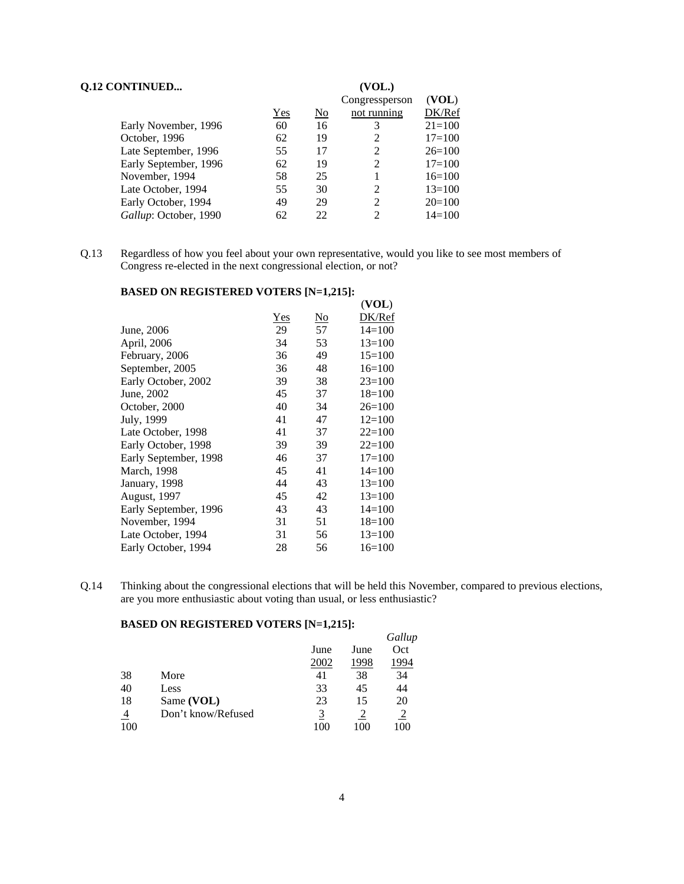| Q.12 CONTINUED        |       |    | (VOL.)         |            |
|-----------------------|-------|----|----------------|------------|
|                       |       |    | Congressperson | (VOL)      |
|                       | $Yes$ | No | not running    | DK/Ref     |
| Early November, 1996  | 60    | 16 | 3              | $21 = 100$ |
| October, 1996         | 62    | 19 |                | $17 = 100$ |
| Late September, 1996  | 55    | 17 | 2              | $26=100$   |
| Early September, 1996 | 62    | 19 | 2              | $17 = 100$ |
| November, 1994        | 58    | 25 |                | $16=100$   |
| Late October, 1994    | 55    | 30 | 2              | $13=100$   |
| Early October, 1994   | 49    | 29 | 2              | $20=100$   |
| Gallup: October, 1990 | 62    | 22 | 2              | $14 = 100$ |

Q.13 Regardless of how you feel about your own representative, would you like to see most members of Congress re-elected in the next congressional election, or not?

### **BASED ON REGISTERED VOTERS [N=1,215]:**

| $0.1$ and $0.01$ and $0.01$ and $0.01$ $(1, -1)$ |     |                        |            |
|--------------------------------------------------|-----|------------------------|------------|
|                                                  |     |                        | (VOL)      |
|                                                  | Yes | $\overline{\text{No}}$ | DK/Ref     |
| June, 2006                                       | 29  | 57                     | $14 = 100$ |
| April, 2006                                      | 34  | 53                     | $13 = 100$ |
| February, 2006                                   | 36  | 49                     | $15=100$   |
| September, 2005                                  | 36  | 48                     | $16=100$   |
| Early October, 2002                              | 39  | 38                     | $23=100$   |
| June, 2002                                       | 45  | 37                     | $18=100$   |
| October, 2000                                    | 40  | 34                     | $26=100$   |
| July, 1999                                       | 41  | 47                     | $12=100$   |
| Late October, 1998                               | 41  | 37                     | $22=100$   |
| Early October, 1998                              | 39  | 39                     | $22 = 100$ |
| Early September, 1998                            | 46  | 37                     | $17 = 100$ |
| March, 1998                                      | 45  | 41                     | $14 = 100$ |
| January, 1998                                    | 44  | 43                     | $13=100$   |
| <b>August, 1997</b>                              | 45  | 42                     | $13 = 100$ |
| Early September, 1996                            | 43  | 43                     | $14 = 100$ |
| November, 1994                                   | 31  | 51                     | $18=100$   |
| Late October, 1994                               | 31  | 56                     | $13=100$   |
| Early October, 1994                              | 28  | 56                     | $16=100$   |

Q.14 Thinking about the congressional elections that will be held this November, compared to previous elections, are you more enthusiastic about voting than usual, or less enthusiastic?

#### **BASED ON REGISTERED VOTERS [N=1,215]:**

|     |                    |      |      | Gallup |
|-----|--------------------|------|------|--------|
|     |                    | June | June | Oct    |
|     |                    | 2002 | 1998 | 1994   |
| 38  | More               | 41   | 38   | 34     |
| 40  | Less               | 33   | 45   | 44     |
| 18  | Same (VOL)         | 23   | 15   | 20     |
| 4   | Don't know/Refused | 3    |      |        |
| 100 |                    |      |      | 100    |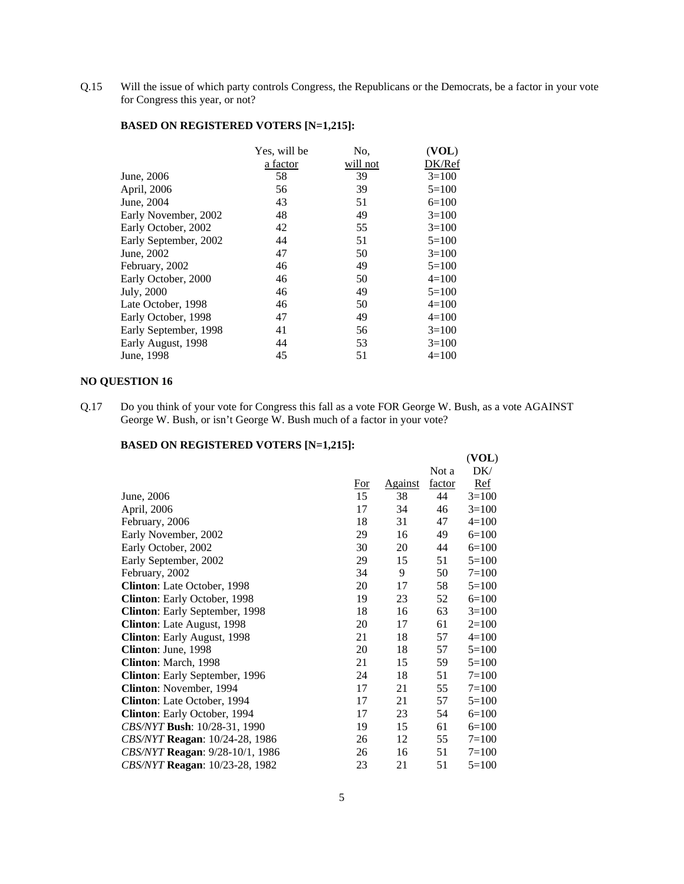Q.15 Will the issue of which party controls Congress, the Republicans or the Democrats, be a factor in your vote for Congress this year, or not?

|                       | Yes, will be | No.      | (VOL)   |
|-----------------------|--------------|----------|---------|
|                       | a factor     | will not | DK/Ref  |
| June, 2006            | 58           | 39       | $3=100$ |
| April, 2006           | 56           | 39       | $5=100$ |
| June, 2004            | 43           | 51       | $6=100$ |
| Early November, 2002  | 48           | 49       | $3=100$ |
| Early October, 2002   | 42           | 55       | $3=100$ |
| Early September, 2002 | 44           | 51       | $5=100$ |
| June, 2002            | 47           | 50       | $3=100$ |
| February, 2002        | 46           | 49       | $5=100$ |
| Early October, 2000   | 46           | 50       | $4=100$ |
| July, 2000            | 46           | 49       | $5=100$ |
| Late October, 1998    | 46           | 50       | $4=100$ |
| Early October, 1998   | 47           | 49       | $4=100$ |
| Early September, 1998 | 41           | 56       | $3=100$ |
| Early August, 1998    | 44           | 53       | $3=100$ |
| June, 1998            | 45           | 51       | $4=100$ |

### **BASED ON REGISTERED VOTERS [N=1,215]:**

# **NO QUESTION 16**

Q.17 Do you think of your vote for Congress this fall as a vote FOR George W. Bush, as a vote AGAINST George W. Bush, or isn't George W. Bush much of a factor in your vote?

### **BASED ON REGISTERED VOTERS [N=1,215]:**

|                                       |       |         |        | (VOL)      |
|---------------------------------------|-------|---------|--------|------------|
|                                       |       |         | Not a  | DK/        |
|                                       | $For$ | Against | factor | <b>Ref</b> |
| June, 2006                            | 15    | 38      | 44     | $3=100$    |
| April, 2006                           | 17    | 34      | 46     | $3=100$    |
| February, 2006                        | 18    | 31      | 47     | $4=100$    |
| Early November, 2002                  | 29    | 16      | 49     | $6=100$    |
| Early October, 2002                   | 30    | 20      | 44     | $6=100$    |
| Early September, 2002                 | 29    | 15      | 51     | $5=100$    |
| February, 2002                        | 34    | 9       | 50     | $7 = 100$  |
| Clinton: Late October, 1998           | 20    | 17      | 58     | $5=100$    |
| Clinton: Early October, 1998          | 19    | 23      | 52     | $6=100$    |
| Clinton: Early September, 1998        | 18    | 16      | 63     | $3=100$    |
| Clinton: Late August, 1998            | 20    | 17      | 61     | $2=100$    |
| Clinton: Early August, 1998           | 21    | 18      | 57     | $4=100$    |
| Clinton: June, 1998                   | 20    | 18      | 57     | $5=100$    |
| Clinton: March, 1998                  | 21    | 15      | 59     | $5=100$    |
| Clinton: Early September, 1996        | 24    | 18      | 51     | $7 = 100$  |
| Clinton: November, 1994               | 17    | 21      | 55     | $7 = 100$  |
| <b>Clinton:</b> Late October, 1994    | 17    | 21      | 57     | $5=100$    |
| Clinton: Early October, 1994          | 17    | 23      | 54     | $6=100$    |
| CBS/NYT Bush: 10/28-31, 1990          | 19    | 15      | 61     | $6=100$    |
| CBS/NYT Reagan: 10/24-28, 1986        | 26    | 12      | 55     | $7 = 100$  |
| CBS/NYT Reagan: 9/28-10/1, 1986       | 26    | 16      | 51     | $7 = 100$  |
| <i>CBS/NYT</i> Reagan: 10/23-28, 1982 | 23    | 21      | 51     | $5=100$    |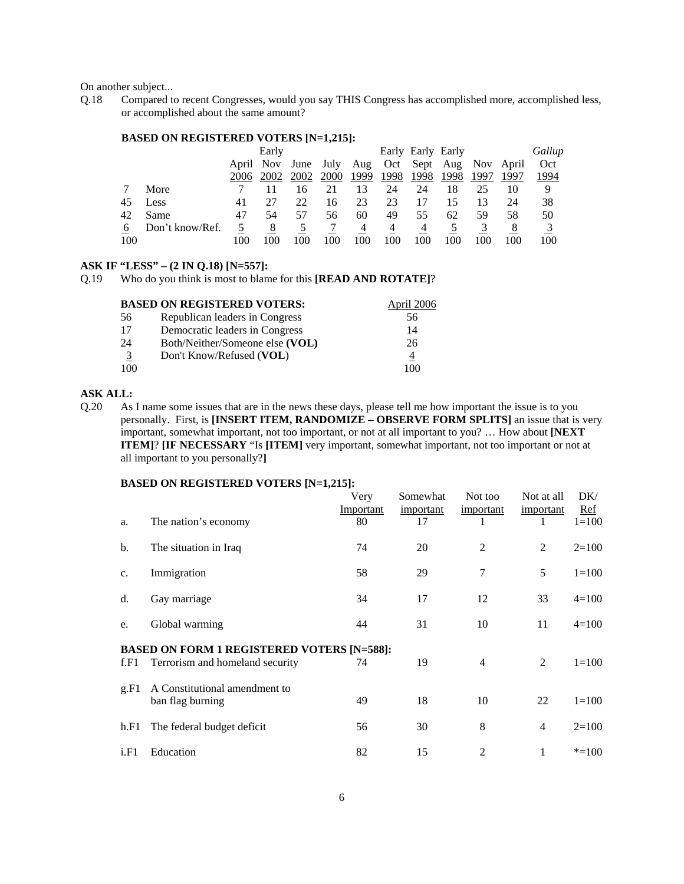On another subject...

Q.18 Compared to recent Congresses, would you say THIS Congress has accomplished more, accomplished less, or accomplished about the same amount?

#### **BASED ON REGISTERED VOTERS [N=1,215]:**

|     |                 |      | Early |      |      |      |      | Early Early Early |                                                |      |      | Gallup |
|-----|-----------------|------|-------|------|------|------|------|-------------------|------------------------------------------------|------|------|--------|
|     |                 |      |       |      |      |      |      |                   | April Nov June July Aug Oct Sept Aug Nov April |      |      | Oct    |
|     |                 | 2006 | 2002  | 2002 | 2000 | 1999 | 1998 | 1998              | 1998                                           | 1997 | 1997 | 1994   |
|     | More            |      |       |      | 21   | 13   | 24   | 24                | 18                                             |      | 10   | 9      |
| 45  | Less            | 41   | 27    | 22   | 16   | 23   | 23   |                   |                                                | 13   | 24   | 38     |
|     | 42 Same         | 47   | 54    | 57   | 56   | 60   | 49   | 55                | 62                                             | 59   | 58   | 50     |
| 6   | Don't know/Ref. |      | 8     |      |      | 4    | 4    | 4                 |                                                |      | 8    |        |
| 100 |                 | 100  |       |      | 100  | 100  | 100  | 100               | 100                                            |      | 100  | 100    |

#### **ASK IF "LESS" – (2 IN Q.18) [N=557]:**

Q.19 Who do you think is most to blame for this **[READ AND ROTATE]**?

|               | <b>BASED ON REGISTERED VOTERS:</b> | April 2006 |
|---------------|------------------------------------|------------|
| 56            | Republican leaders in Congress     | 56         |
| 17            | Democratic leaders in Congress     | 14         |
| 24            | Both/Neither/Someone else (VOL)    | 26         |
| $\frac{3}{2}$ | Don't Know/Refused (VOL)           | 4          |
| 100           |                                    | 100        |

#### **ASK ALL:**

Q.20 As I name some issues that are in the news these days, please tell me how important the issue is to you personally. First, is **[INSERT ITEM, RANDOMIZE – OBSERVE FORM SPLITS]** an issue that is very important, somewhat important, not too important, or not at all important to you? … How about **[NEXT ITEM]**? **[IF NECESSARY** "Is **[ITEM]** very important, somewhat important, not too important or not at all important to you personally?**]**

# **BASED ON REGISTERED VOTERS [N=1,215]:**

|               |                                                   | Very<br>Important | Somewhat<br>important | Not too<br>important | Not at all<br>important | DK/<br>Ref |
|---------------|---------------------------------------------------|-------------------|-----------------------|----------------------|-------------------------|------------|
| a.            | The nation's economy                              | 80                | 17                    | 1                    | 1                       | $1=100$    |
| b.            | The situation in Iraq                             | 74                | 20                    | $\overline{2}$       | 2                       | $2=100$    |
| $C_{\bullet}$ | Immigration                                       | 58                | 29                    | 7                    | 5                       | $1=100$    |
| d.            | Gay marriage                                      | 34                | 17                    | 12                   | 33                      | $4=100$    |
| e.            | Global warming                                    | 44                | 31                    | 10                   | 11                      | $4=100$    |
|               | <b>BASED ON FORM 1 REGISTERED VOTERS [N=588]:</b> |                   |                       |                      |                         |            |
| f.F1          | Terrorism and homeland security                   | 74                | 19                    | 4                    | 2                       | $1 = 100$  |
| g.F1          | A Constitutional amendment to<br>ban flag burning | 49                | 18                    | 10                   | 22                      | $1 = 100$  |
| h.F1          | The federal budget deficit                        | 56                | 30                    | 8                    | $\overline{4}$          | $2=100$    |
| i.F1          | Education                                         | 82                | 15                    | 2                    | 1                       | $* = 100$  |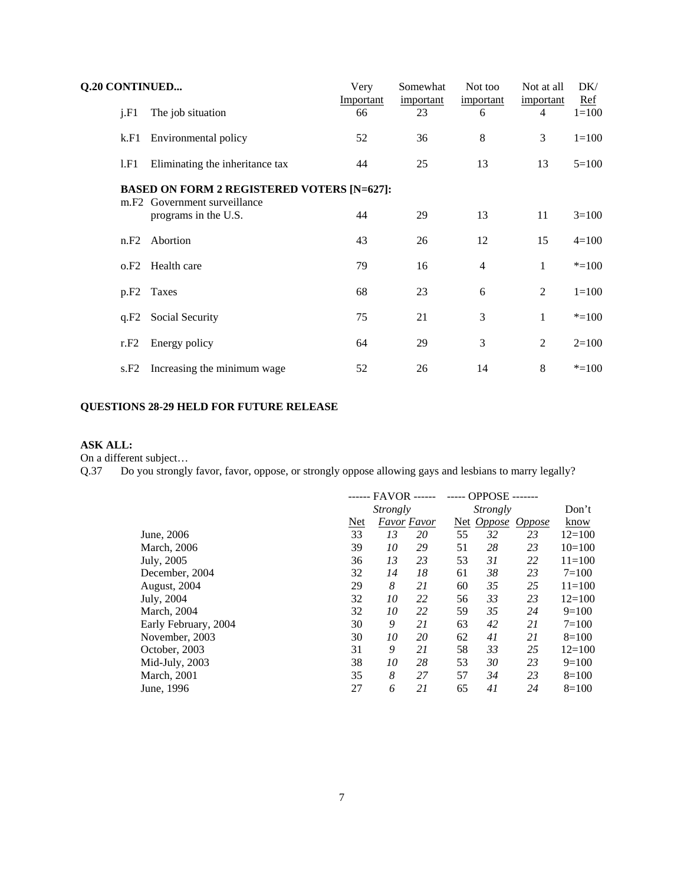| <b>Q.20 CONTINUED</b> |                                                                  | Very<br>Important | Somewhat<br>important | Not too<br>important | Not at all<br>important | DK/<br>Ref |
|-----------------------|------------------------------------------------------------------|-------------------|-----------------------|----------------------|-------------------------|------------|
| i.F1                  | The job situation                                                | 66                | 23                    | 6                    | $\overline{4}$          | $1 = 100$  |
|                       | k.F1 Environmental policy                                        | 52                | 36                    | 8                    | 3                       | $1 = 100$  |
| 1.F1                  | Eliminating the inheritance tax                                  | 44                | 25                    | 13                   | 13                      | $5=100$    |
|                       | <b>BASED ON FORM 2 REGISTERED VOTERS [N=627]:</b>                |                   |                       |                      |                         |            |
|                       | m.F <sub>2</sub> Government surveillance<br>programs in the U.S. | 44                | 29                    | 13                   | 11                      | $3=100$    |
| n.F2                  | Abortion                                                         | 43                | 26                    | 12                   | 15                      | $4=100$    |
| 0.F2                  | Health care                                                      | 79                | 16                    | 4                    | $\mathbf{1}$            | $* = 100$  |
|                       | p.F <sub>2</sub> Taxes                                           | 68                | 23                    | 6                    | 2                       | $1 = 100$  |
|                       | q.F2 Social Security                                             | 75                | 21                    | 3                    | $\mathbf{1}$            | $* = 100$  |
| r.F2                  | Energy policy                                                    | 64                | 29                    | 3                    | $\overline{2}$          | $2=100$    |
| s.F2                  | Increasing the minimum wage                                      | 52                | 26                    | 14                   | 8                       | $* = 100$  |
|                       |                                                                  |                   |                       |                      |                         |            |

# **QUESTIONS 28-29 HELD FOR FUTURE RELEASE**

# **ASK ALL:**

On a different subject…

Q.37 Do you strongly favor, favor, oppose, or strongly oppose allowing gays and lesbians to marry legally?

|                      |     | ------ FAVOR -- |                    |    | <b>OPPOSE -</b> |               |            |
|----------------------|-----|-----------------|--------------------|----|-----------------|---------------|------------|
|                      |     | <i>Strongly</i> |                    |    | <b>Strongly</b> |               | Don't      |
|                      | Net |                 | <i>Favor Favor</i> |    | Net Oppose      | <i>Oppose</i> | know       |
| June, 2006           | 33  | 13              | 20                 | 55 | 32              | 23            | $12=100$   |
| March, 2006          | 39  | 10              | 29                 | 51 | 28              | 23            | $10=100$   |
| July, 2005           | 36  | 13              | 23                 | 53 | 31              | 22            | $11 = 100$ |
| December, 2004       | 32  | 14              | 18                 | 61 | 38              | 23            | $7 = 100$  |
| August, 2004         | 29  | 8               | 21                 | 60 | 35              | 25            | $11 = 100$ |
| July, 2004           | 32  | 10              | 22                 | 56 | 33              | 23            | $12 = 100$ |
| March, 2004          | 32  | 10              | 22                 | 59 | 35              | 24            | $9=100$    |
| Early February, 2004 | 30  | 9               | 21                 | 63 | 42              | 21            | $7 = 100$  |
| November, 2003       | 30  | 10              | 20                 | 62 | 41              | 21            | $8=100$    |
| October, 2003        | 31  | 9               | 21                 | 58 | 33              | 25            | $12 = 100$ |
| Mid-July, 2003       | 38  | 10              | 28                 | 53 | 30              | 23            | $9=100$    |
| March, 2001          | 35  | 8               | 27                 | 57 | 34              | 23            | $8=100$    |
| June, 1996           | 27  | 6               | 21                 | 65 | 41              | 24            | $8=100$    |
|                      |     |                 |                    |    |                 |               |            |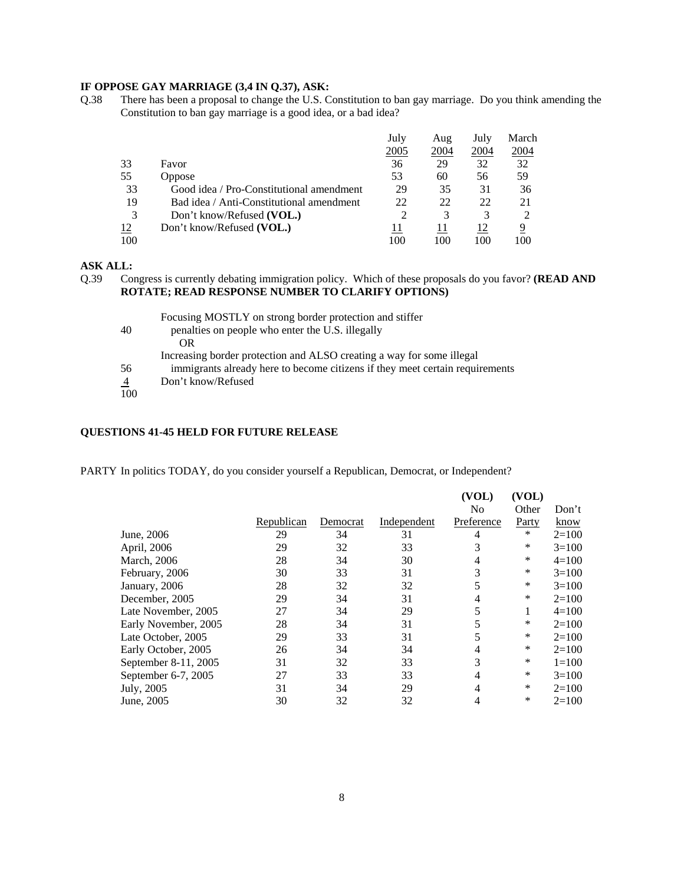### **IF OPPOSE GAY MARRIAGE (3,4 IN Q.37), ASK:**

Q.38 There has been a proposal to change the U.S. Constitution to ban gay marriage. Do you think amending the Constitution to ban gay marriage is a good idea, or a bad idea?

|     |                                          | July | Aug  | July | March         |
|-----|------------------------------------------|------|------|------|---------------|
|     |                                          | 2005 | 2004 | 2004 | <u> 2004 </u> |
| 33  | Favor                                    | 36   | 29   | 32   | 32            |
| 55  | Oppose                                   | 53   | 60   | 56   | 59            |
| 33  | Good idea / Pro-Constitutional amendment | 29   | 35   | 31   | 36            |
| 19  | Bad idea / Anti-Constitutional amendment | 22   | 22   | 22   | 21            |
| 3   | Don't know/Refused (VOL.)                |      | 3    | 3    |               |
| 12  | Don't know/Refused (VOL.)                |      |      | 12   | 9             |
| 100 |                                          | 100  | 100  | 100  | 100           |

# **ASK ALL:**

Q.39 Congress is currently debating immigration policy. Which of these proposals do you favor? **(READ AND ROTATE; READ RESPONSE NUMBER TO CLARIFY OPTIONS)**

|                | Focusing MOSTLY on strong border protection and stiffer                      |
|----------------|------------------------------------------------------------------------------|
| 40             | penalties on people who enter the U.S. illegally                             |
|                | OR.                                                                          |
|                | Increasing border protection and ALSO creating a way for some illegal        |
| 56             | immigrants already here to become citizens if they meet certain requirements |
| $\overline{4}$ | Don't know/Refused                                                           |
| 100            |                                                                              |

#### **QUESTIONS 41-45 HELD FOR FUTURE RELEASE**

PARTY In politics TODAY, do you consider yourself a Republican, Democrat, or Independent?

|                      |            |          |             | (VOL)<br>N <sub>0</sub> | (VOL)<br>Other | Don't     |
|----------------------|------------|----------|-------------|-------------------------|----------------|-----------|
|                      | Republican | Democrat | Independent | Preference              | Party          | know      |
| June, 2006           | 29         | 34       | 31          | 4                       | *              | $2=100$   |
| April, 2006          | 29         | 32       | 33          | 3                       | *              | $3=100$   |
| March, 2006          | 28         | 34       | 30          | 4                       | *              | $4=100$   |
| February, 2006       | 30         | 33       | 31          | 3                       | *              | $3=100$   |
| January, 2006        | 28         | 32       | 32          | 5                       | *              | $3=100$   |
| December, 2005       | 29         | 34       | 31          | 4                       | *              | $2=100$   |
| Late November, 2005  | 27         | 34       | 29          | 5                       |                | $4=100$   |
| Early November, 2005 | 28         | 34       | 31          | 5                       | *              | $2=100$   |
| Late October, 2005   | 29         | 33       | 31          | 5                       | *              | $2=100$   |
| Early October, 2005  | 26         | 34       | 34          | 4                       | *              | $2=100$   |
| September 8-11, 2005 | 31         | 32       | 33          | 3                       | *              | $1 = 100$ |
| September 6-7, 2005  | 27         | 33       | 33          | 4                       | *              | $3=100$   |
| July, 2005           | 31         | 34       | 29          | 4                       | *              | $2=100$   |
| June, 2005           | 30         | 32       | 32          | 4                       | *              | $2=100$   |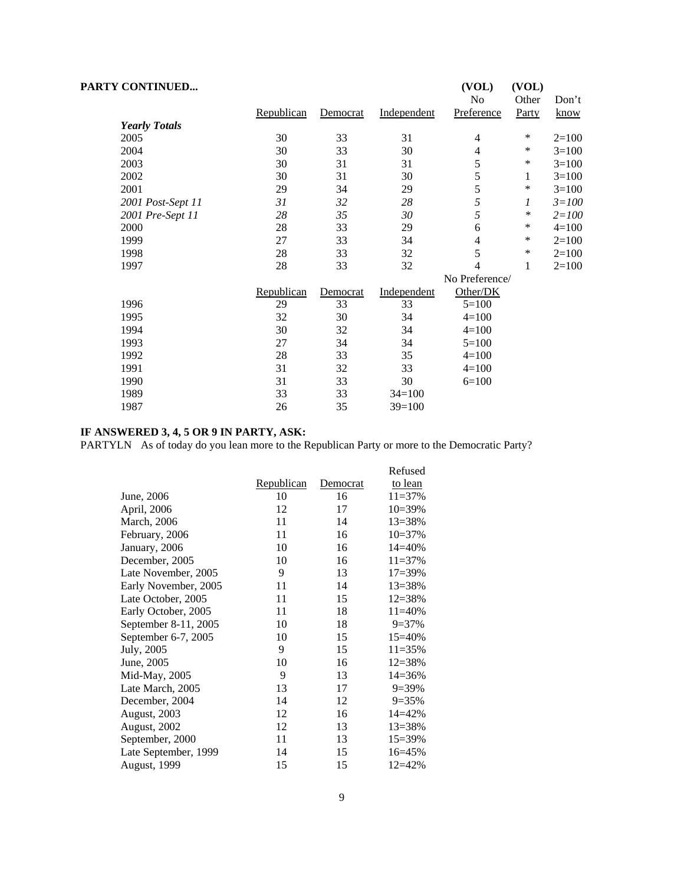| <b>PARTY CONTINUED</b> |            |                 |             | (VOL)<br>No    | (VOL)<br>Other | Don't       |
|------------------------|------------|-----------------|-------------|----------------|----------------|-------------|
|                        | Republican | Democrat        | Independent | Preference     | Party          | <u>know</u> |
| <b>Yearly Totals</b>   |            |                 |             |                |                |             |
| 2005                   | 30         | 33              | 31          | 4              | ∗              | $2=100$     |
| 2004                   | 30         | 33              | 30          | 4              | ∗              | $3=100$     |
| 2003                   | 30         | 31              | 31          | 5              | *              | $3=100$     |
| 2002                   | 30         | 31              | 30          | 5              | 1              | $3=100$     |
| 2001                   | 29         | 34              | 29          | 5              | ∗              | $3=100$     |
| 2001 Post-Sept 11      | 31         | 32              | 28          | 5              | 1              | $3 = 100$   |
| 2001 Pre-Sept 11       | 28         | 35              | 30          | 5              | $\ast$         | $2 = 100$   |
| 2000                   | 28         | 33              | 29          | 6              | *              | $4 = 100$   |
| 1999                   | 27         | 33              | 34          | 4              | ∗              | $2=100$     |
| 1998                   | 28         | 33              | 32          | 5              | ∗              | $2=100$     |
| 1997                   | 28         | 33              | 32          | 4              | 1              | $2=100$     |
|                        |            |                 |             | No Preference/ |                |             |
|                        | Republican | <b>Democrat</b> | Independent | Other/DK       |                |             |
| 1996                   | 29         | 33              | 33          | $5=100$        |                |             |
| 1995                   | 32         | 30              | 34          | $4=100$        |                |             |
| 1994                   | 30         | 32              | 34          | $4=100$        |                |             |
| 1993                   | 27         | 34              | 34          | $5=100$        |                |             |
| 1992                   | 28         | 33              | 35          | $4=100$        |                |             |
| 1991                   | 31         | 32              | 33          | $4=100$        |                |             |
| 1990                   | 31         | 33              | 30          | $6=100$        |                |             |
| 1989                   | 33         | 33              | $34=100$    |                |                |             |
| 1987                   | 26         | 35              | $39=100$    |                |                |             |

#### **IF ANSWERED 3, 4, 5 OR 9 IN PARTY, ASK:**

PARTYLN As of today do you lean more to the Republican Party or more to the Democratic Party?

|                      |                   |          | Refused     |
|----------------------|-------------------|----------|-------------|
|                      | <u>Republican</u> | Democrat | to lean     |
| June, 2006           | 10                | 16       | $11 = 37%$  |
| April, 2006          | 12                | 17       | $10=39\%$   |
| March, 2006          | 11                | 14       | $13 = 38%$  |
| February, 2006       | 11                | 16       | $10=37%$    |
| January, 2006        | 10                | 16       | $14 = 40%$  |
| December, 2005       | 10                | 16       | $11 = 37%$  |
| Late November, 2005  | 9                 | 13       | $17 = 39\%$ |
| Early November, 2005 | 11                | 14       | $13 = 38%$  |
| Late October, 2005   | 11                | 15       | $12 = 38%$  |
| Early October, 2005  | 11                | 18       | $11 = 40%$  |
| September 8-11, 2005 | 10                | 18       | $9 = 37%$   |
| September 6-7, 2005  | 10                | 15       | $15 = 40%$  |
| July, 2005           | 9                 | 15       | $11 = 35%$  |
| June, 2005           | 10                | 16       | $12 = 38%$  |
| Mid-May, 2005        | 9                 | 13       | $14 = 36%$  |
| Late March, 2005     | 13                | 17       | $9=39\%$    |
| December, 2004       | 14                | 12       | $9=35%$     |
| August, 2003         | 12                | 16       | $14 = 42%$  |
| <b>August, 2002</b>  | 12                | 13       | 13=38%      |
| September, 2000      | 11                | 13       | 15=39%      |
| Late September, 1999 | 14                | 15       | $16 = 45%$  |
| <b>August, 1999</b>  | 15                | 15       | $12 = 42%$  |